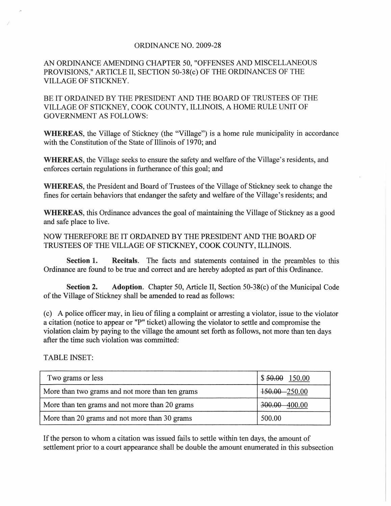## ORDINANCE NO. 2009-28

AN ORDINANCE AMENDING CHAPTER 50, "OFFENSES AND MISCELLANEOUS PROVISIONS," ARTICLE II, SECTION 50-38(c) OF THE ORDINANCES OF THE VILLAGE OF STICKNEY.

BE IT ORDAINED BY THE PRESIDENT AND THE BOARD OF TRUSTEES OF THE VILLAGE OF STICKNEY, COOK COUNTY, ILLINOIS, A HOME RULE UNIT OF GOVERNMENT AS FOLLOWS:

WHEREAS, the Village of Stickney (the "Village") is a home rule municipality in accordance with the Constitution of the State of Illinois of 1970; and

WHEREAS, the Village seeks to ensure the safety and welfare of the Village's residents, and enforces certain regulations in furtherance of this goal; and

WHEREAS, the President and Board of Trustees of the Village of Stickney seek to change the fines for certain behaviors that endanger the safety and welfare of the Village's residents; and

WHEREAS, this Ordinance advances the goal of maintaining the Village of Stickney as a good and safe place to live.

NOW THEREFORE BE IT ORDAINED BY THE PRESIDENT AND THE BOARD OF TRUSTEES OF THE VILLAGE OF STICKNEY, COOK COUNTY, ILLINOIS.

Section 1. Recitals. The facts and statements contained in the preambles to this Ordinance are found to be true and correct and are hereby adopted as part of this Ordinance.

Section 2. Adoption. Chapter 50, Article II, Section 50-38(c) of the Municipal Code of the Village of Stickney shall be amended to read as follows:

(c) A police officer may, in lieu of filing a complaint or arresting a violator, issue to the violator a citation (notice to appear or "P" ticket) allowing the violator to settle and compromise the violation claim by paying to the village the amount set forth as follows, not more than ten days after the time such violation was committed:

TABLE INSET:

, ,

| Two grams or less                               | $$50.00$ 150.00 |
|-------------------------------------------------|-----------------|
| More than two grams and not more than ten grams | 150.00 - 250.00 |
| More than ten grams and not more than 20 grams  | 300.00 400.00   |
| More than 20 grams and not more than 30 grams   | 500.00          |

If the person to whom a citation was issued fails to settle within ten days, the amount of settlement prior to a court appearance shall be double the amount enumerated in this subsection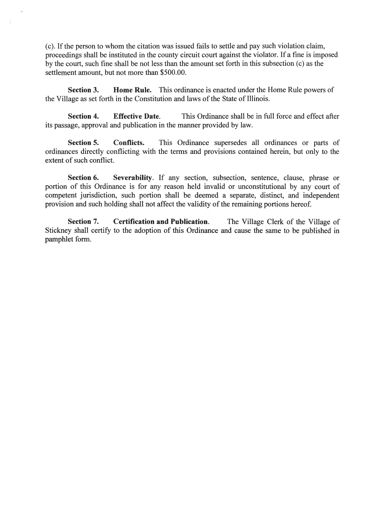(c). If the person to whom the citation was issued fails to settle and pay such violation claim, proceedings shall be instituted in the county circuit court against the violator. If a fine is imposed by the court, such fine shall be not less than the amount set forth in this subsection (c) as the settlement amount, but not more than \$500.00.

Section 3. Home Rule. This ordinance is enacted under the Home Rule powers of the Village as set forth in the Constitution and laws of the State of Illinois.

Section 4. Effective Date. This Ordinance shall be in full force and effect after its passage, approval and publication in the manner provided by law.

Section 5. Conflicts. This Ordinance supersedes all ordinances or parts of ordinances directly conflicting with the terms and provisions contained herein, but only to the extent of such conflict.

Section 6. Severability. If any section, subsection, sentence, clause, phrase or portion of this Ordinance is for any reason held invalid or unconstitutional by any court of competent jurisdiction, such portion shall be deemed a separate, distinct, and independent provision and such holding shall not affect the validity of the remaining portions hereof.

Section 7. Certification and Publication. The Village Clerk of the Village of Stickney shall certify to the adoption of this Ordinance and cause the same to be published in pamphlet form.